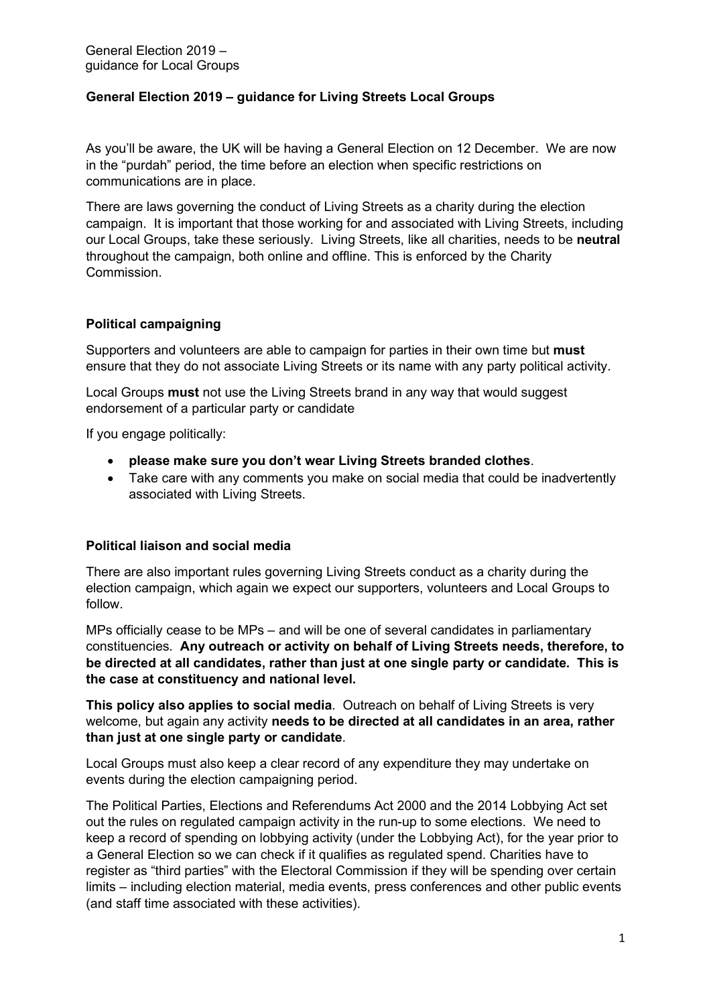## General Election 2019 – guidance for Living Streets Local Groups

As you'll be aware, the UK will be having a General Election on 12 December. We are now in the "purdah" period, the time before an election when specific restrictions on communications are in place.

There are laws governing the conduct of Living Streets as a charity during the election campaign. It is important that those working for and associated with Living Streets, including our Local Groups, take these seriously. Living Streets, like all charities, needs to be neutral throughout the campaign, both online and offline. This is enforced by the Charity Commission.

## Political campaigning

Supporters and volunteers are able to campaign for parties in their own time but **must** ensure that they do not associate Living Streets or its name with any party political activity.

Local Groups must not use the Living Streets brand in any way that would suggest endorsement of a particular party or candidate

If you engage politically:

- please make sure you don't wear Living Streets branded clothes.
- Take care with any comments you make on social media that could be inadvertently associated with Living Streets.

## Political liaison and social media

There are also important rules governing Living Streets conduct as a charity during the election campaign, which again we expect our supporters, volunteers and Local Groups to follow.

MPs officially cease to be MPs – and will be one of several candidates in parliamentary constituencies. Any outreach or activity on behalf of Living Streets needs, therefore, to be directed at all candidates, rather than just at one single party or candidate. This is the case at constituency and national level.

This policy also applies to social media. Outreach on behalf of Living Streets is very welcome, but again any activity needs to be directed at all candidates in an area, rather than just at one single party or candidate.

Local Groups must also keep a clear record of any expenditure they may undertake on events during the election campaigning period.

The Political Parties, Elections and Referendums Act 2000 and the 2014 Lobbying Act set out the rules on regulated campaign activity in the run-up to some elections. We need to keep a record of spending on lobbying activity (under the Lobbying Act), for the year prior to a General Election so we can check if it qualifies as regulated spend. Charities have to register as "third parties" with the Electoral Commission if they will be spending over certain limits – including election material, media events, press conferences and other public events (and staff time associated with these activities).